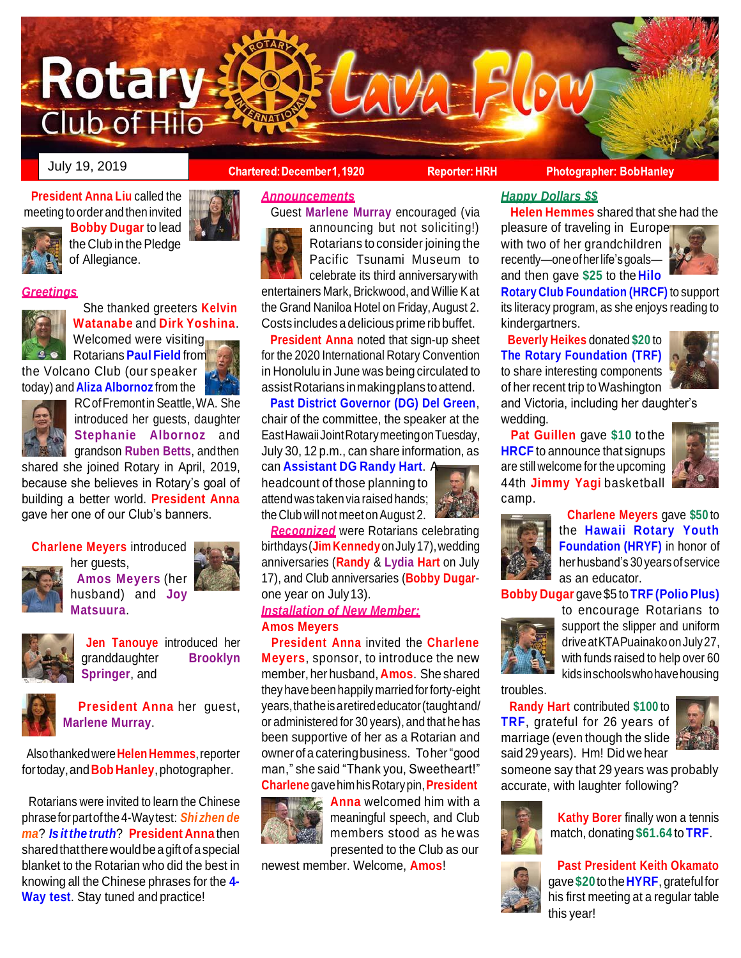

July 19, 2019

**President Anna Liu** called the meeting to order and then invited



**Bobby Dugar** to lead the Club in the Pledge of Allegiance.

# *Greetings*



She thanked greeters **Kelvin Watanabe** and **Dirk Yoshina**. Welcomed were visiting Rotarians **Paul Field** from

the Volcano Club (our speaker today) and **Aliza Albornoz** from the



RCofFremontin Seattle,WA. She introduced her guests, daughter **Stephanie Albornoz** and grandson **Ruben Betts**, andthen

shared she joined Rotary in April, 2019, because she believes in Rotary's goal of building a better world. **President Anna**  gave her one of our Club's banners.

# **Charlene Meyers** introduced



her guests, **Amos Meyers** (her husband) and **Joy Matsuura**.



**Jen Tanouye** introduced her granddaughter **Brooklyn Springer**, and



**President Anna** her guest, **Marlene Murray**.

Alsothankedwere**Helen Hemmes**,reporter fortoday,and**Bob Hanley**,photographer.

Rotarians were invited to learn the Chinese phraseforpartofthe 4-Waytest: *Shi zhen de ma*? *Is itthe truth*? **President Anna** then sharedthattherewouldbeagiftofaspecial blanket to the Rotarian who did the best in knowing all the Chinese phrases for the **4- Way test**. Stay tuned and practice!

# **Chartered: December1, 1920**

**Reporter: HRH** 

**Photographer: BobHanley** 

# *Announcements*



Guest **Marlene Murray** encouraged (via announcing but not soliciting!) Rotarians to consider joining the

Pacific Tsunami Museum to celebrate its third anniversarywith entertainers Mark, Brickwood, and Willie Kat the Grand Naniloa Hotel on Friday, August 2. Costs includes a delicious prime rib buffet.

**President Anna** noted that sign-up sheet for the 2020 International Rotary Convention in Honolulu in June was being circulated to assistRotarians inmakingplans toattend.

**Past District Governor (DG) Del Green**, chair of the committee, the speaker at the EastHawaiiJointRotarymeetingonTuesday, July 30, 12 p.m., can share information, as can **Assistant DG Randy Hart**. A

headcount of those planning to attend was taken via raised hands; the Club will not meet on August 2.

*Recognized* were Rotarians celebrating birthdays(**Jim Kennedy**onJuly17),wedding anniversaries (**Randy** & **Lydia Hart** on July 17), and Club anniversaries (**Bobby Dugar**one year on July13).

# *Installation of New Member:* **Amos Meyers**

**President Anna** invited the **Charlene Meyers**, sponsor, to introduce the new member, her husband, **Amos**. She shared they have been happily married forforty-eight years,thatheisaretirededucator(taughtand/ or administered for 30 years), and that he has been supportive of her as a Rotarian and ownerofa cateringbusiness. Toher"good man," she said "Thank you, Sweetheart!" **Charlene** gavehimhisRotarypin,**President**



**Anna** welcomed him with a meaningful speech, and Club members stood as he was presented to the Club as our

newest member. Welcome, **Amos**!

# *Happy Dollars \$\$*

**Helen Hemmes** shared that she had the

pleasure of traveling in Europer with two of her grandchildren recently—one of her life's goalsand then gave **\$25** to the **Hilo**



**Rotary Club Foundation (HRCF)** to support its literacy program, as she enjoys reading to kindergartners.

**Beverly Heikes** donated **\$20** to **The Rotary Foundation (TRF)**  to share interesting components of her recent trip toWashington



and Victoria, including her daughter's wedding.

**Pat Guillen** gave **\$10** to the **HRCF** to announce that signups are still welcome for the upcoming 44th **Jimmy Yagi** basketball camp.





**Charlene Meyers** gave **\$50** to the **Hawaii Rotary Youth Foundation (HRYF)** in honor of herhusband's 30 yearsof service as an educator.

**Bobby Dugar** gave\$5 to**TRF (Polio Plus)** 



to encourage Rotarians to support the slipper and uniform driveatKTAPuainakoonJuly27, with funds raised to help over 60 kidsinschoolswhohavehousing

troubles.

**Randy Hart** contributed **\$100** to **TRF**, grateful for 26 years of marriage (even though the slide said 29 years). Hm! Did wehear



someone say that 29 years was probably accurate, with laughter following?



**Kathy Borer** finally won a tennis match, donating **\$61.64** to **TRF**.



**Past President Keith Okamato**  gave**\$20**tothe**HYRF**, gratefulfor his first meeting at a regular table this year!